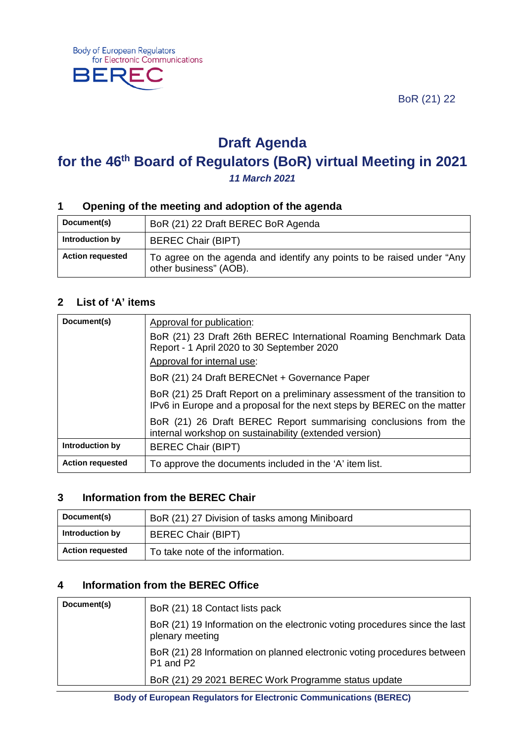BoR (21) 22



# **Draft Agenda for the 46th Board of Regulators (BoR) virtual Meeting in 2021** *11 March 2021*

#### **1 Opening of the meeting and adoption of the agenda**

| Document(s)             | BoR (21) 22 Draft BEREC BoR Agenda                                                               |
|-------------------------|--------------------------------------------------------------------------------------------------|
| Introduction by         | <b>BEREC Chair (BIPT)</b>                                                                        |
| <b>Action requested</b> | To agree on the agenda and identify any points to be raised under "Any<br>other business" (AOB). |

#### **2 List of 'A' items**

| Document(s)             | Approval for publication:                                                                                                                            |
|-------------------------|------------------------------------------------------------------------------------------------------------------------------------------------------|
|                         | BoR (21) 23 Draft 26th BEREC International Roaming Benchmark Data<br>Report - 1 April 2020 to 30 September 2020                                      |
|                         | Approval for internal use:                                                                                                                           |
|                         | BoR (21) 24 Draft BERECNet + Governance Paper                                                                                                        |
|                         | BoR (21) 25 Draft Report on a preliminary assessment of the transition to<br>IPv6 in Europe and a proposal for the next steps by BEREC on the matter |
|                         | BoR (21) 26 Draft BEREC Report summarising conclusions from the<br>internal workshop on sustainability (extended version)                            |
| Introduction by         | <b>BEREC Chair (BIPT)</b>                                                                                                                            |
| <b>Action requested</b> | To approve the documents included in the 'A' item list.                                                                                              |

## **3 Information from the BEREC Chair**

| Document(s)             | BoR (21) 27 Division of tasks among Miniboard |
|-------------------------|-----------------------------------------------|
| Introduction by         | <b>BEREC Chair (BIPT)</b>                     |
| <b>Action requested</b> | To take note of the information.              |

## **4 Information from the BEREC Office**

| Document(s) | BoR (21) 18 Contact lists pack                                                                |
|-------------|-----------------------------------------------------------------------------------------------|
|             | BoR (21) 19 Information on the electronic voting procedures since the last<br>plenary meeting |
|             | BoR (21) 28 Information on planned electronic voting procedures between<br>P1 and P2          |
|             | BoR (21) 29 2021 BEREC Work Programme status update                                           |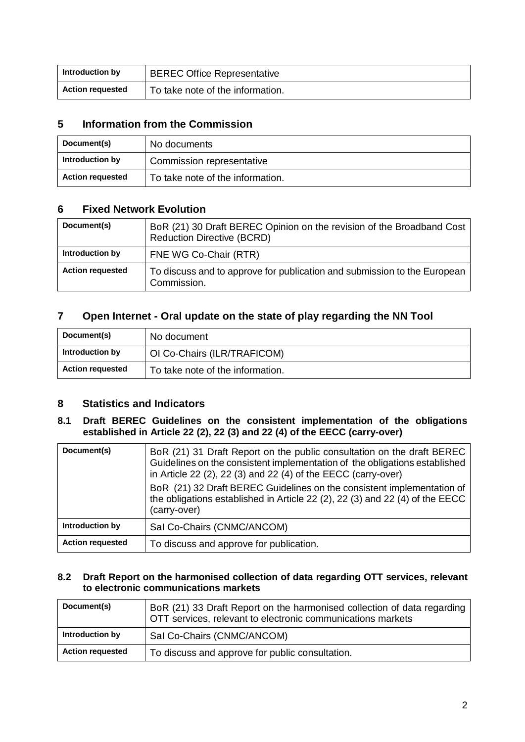| Introduction by         | <b>BEREC Office Representative</b> |
|-------------------------|------------------------------------|
| <b>Action requested</b> | To take note of the information.   |

## **5 Information from the Commission**

| Document(s)             | No documents                     |
|-------------------------|----------------------------------|
| Introduction by         | Commission representative        |
| <b>Action requested</b> | To take note of the information. |

## **6 Fixed Network Evolution**

| Document(s)             | BoR (21) 30 Draft BEREC Opinion on the revision of the Broadband Cost<br><b>Reduction Directive (BCRD)</b> |
|-------------------------|------------------------------------------------------------------------------------------------------------|
| Introduction by         | FNE WG Co-Chair (RTR)                                                                                      |
| <b>Action requested</b> | To discuss and to approve for publication and submission to the European<br>Commission.                    |

## **7 Open Internet - Oral update on the state of play regarding the NN Tool**

| Document(s)             | No document                      |
|-------------------------|----------------------------------|
| Introduction by         | OI Co-Chairs (ILR/TRAFICOM)      |
| <b>Action requested</b> | To take note of the information. |

#### **8 Statistics and Indicators**

#### **8.1 Draft BEREC Guidelines on the consistent implementation of the obligations established in Article 22 (2), 22 (3) and 22 (4) of the EECC (carry-over)**

| Document(s)             | BoR (21) 31 Draft Report on the public consultation on the draft BEREC<br>Guidelines on the consistent implementation of the obligations established<br>in Article 22 (2), 22 (3) and 22 (4) of the EECC (carry-over)<br>BoR (21) 32 Draft BEREC Guidelines on the consistent implementation of<br>the obligations established in Article 22 (2), 22 (3) and 22 (4) of the EECC<br>(carry-over) |
|-------------------------|-------------------------------------------------------------------------------------------------------------------------------------------------------------------------------------------------------------------------------------------------------------------------------------------------------------------------------------------------------------------------------------------------|
| Introduction by         | Sal Co-Chairs (CNMC/ANCOM)                                                                                                                                                                                                                                                                                                                                                                      |
| <b>Action requested</b> | To discuss and approve for publication.                                                                                                                                                                                                                                                                                                                                                         |

#### **8.2 Draft Report on the harmonised collection of data regarding OTT services, relevant to electronic communications markets**

| Document(s)             | BoR (21) 33 Draft Report on the harmonised collection of data regarding<br>OTT services, relevant to electronic communications markets |
|-------------------------|----------------------------------------------------------------------------------------------------------------------------------------|
| Introduction by         | Sal Co-Chairs (CNMC/ANCOM)                                                                                                             |
| <b>Action requested</b> | To discuss and approve for public consultation.                                                                                        |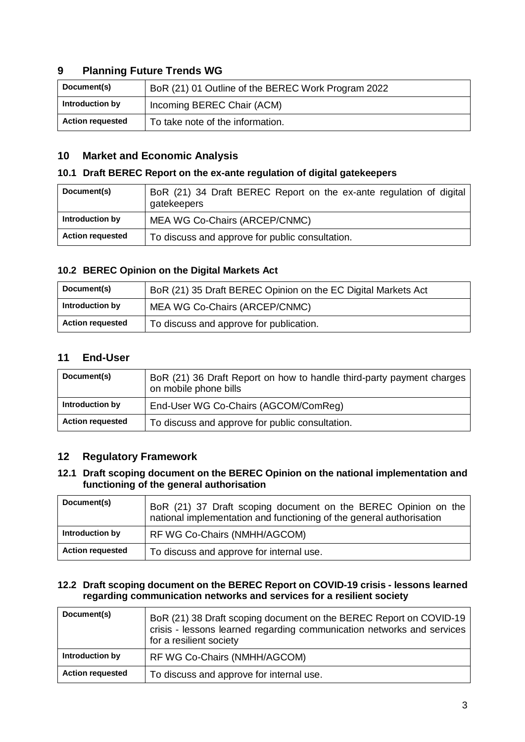## **9 Planning Future Trends WG**

| Document(s)             | BoR (21) 01 Outline of the BEREC Work Program 2022 |
|-------------------------|----------------------------------------------------|
| Introduction by         | Incoming BEREC Chair (ACM)                         |
| <b>Action requested</b> | To take note of the information.                   |

#### **10 Market and Economic Analysis**

#### **10.1 Draft BEREC Report on the ex-ante regulation of digital gatekeepers**

| Document(s)             | BoR (21) 34 Draft BEREC Report on the ex-ante regulation of digital<br>gatekeepers |
|-------------------------|------------------------------------------------------------------------------------|
| Introduction by         | MEA WG Co-Chairs (ARCEP/CNMC)                                                      |
| <b>Action requested</b> | To discuss and approve for public consultation.                                    |

#### **10.2 BEREC Opinion on the Digital Markets Act**

| Document(s)             | BoR (21) 35 Draft BEREC Opinion on the EC Digital Markets Act |
|-------------------------|---------------------------------------------------------------|
| Introduction by         | MEA WG Co-Chairs (ARCEP/CNMC)                                 |
| <b>Action requested</b> | To discuss and approve for publication.                       |

## **11 End-User**

| Document(s)             | BoR (21) 36 Draft Report on how to handle third-party payment charges<br>on mobile phone bills |
|-------------------------|------------------------------------------------------------------------------------------------|
| Introduction by         | End-User WG Co-Chairs (AGCOM/ComReg)                                                           |
| <b>Action requested</b> | To discuss and approve for public consultation.                                                |

#### **12 Regulatory Framework**

#### **12.1 Draft scoping document on the BEREC Opinion on the national implementation and functioning of the general authorisation**

| Document(s)             | BoR (21) 37 Draft scoping document on the BEREC Opinion on the<br>national implementation and functioning of the general authorisation |
|-------------------------|----------------------------------------------------------------------------------------------------------------------------------------|
| Introduction by         | RF WG Co-Chairs (NMHH/AGCOM)                                                                                                           |
| <b>Action requested</b> | To discuss and approve for internal use.                                                                                               |

#### **12.2 Draft scoping document on the BEREC Report on COVID-19 crisis - lessons learned regarding communication networks and services for a resilient society**

| Document(s)             | BoR (21) 38 Draft scoping document on the BEREC Report on COVID-19<br>crisis - lessons learned regarding communication networks and services<br>for a resilient society |
|-------------------------|-------------------------------------------------------------------------------------------------------------------------------------------------------------------------|
| Introduction by         | RF WG Co-Chairs (NMHH/AGCOM)                                                                                                                                            |
| <b>Action requested</b> | To discuss and approve for internal use.                                                                                                                                |